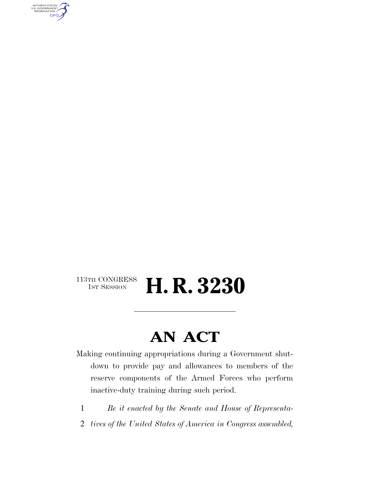AUTHENTICATED<br>U.S. GOVERNMENT<br>INFORMATION GPO

#### $\begin{array}{c} \textbf{113TH CONGRESS} \\ \textbf{1ST SESION} \end{array}$ H. R. 3230

### **AN ACT**

Making continuing appropriations during a Government shutdown to provide pay and allowances to members of the reserve components of the Armed Forces who perform inactive-duty training during such period.

- 1 *Be it enacted by the Senate and House of Representa-*
- 2 *tives of the United States of America in Congress assembled,*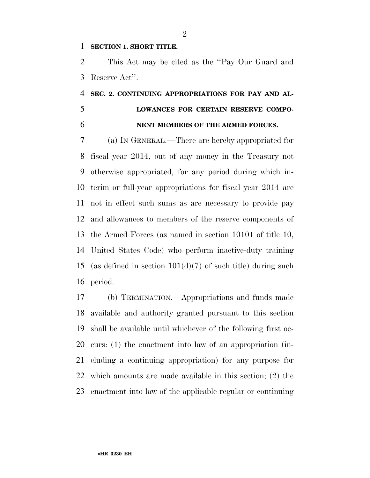#### **SECTION 1. SHORT TITLE.**

 This Act may be cited as the ''Pay Our Guard and Reserve Act''.

#### **SEC. 2. CONTINUING APPROPRIATIONS FOR PAY AND AL- LOWANCES FOR CERTAIN RESERVE COMPO-NENT MEMBERS OF THE ARMED FORCES.**

 (a) IN GENERAL.—There are hereby appropriated for fiscal year 2014, out of any money in the Treasury not otherwise appropriated, for any period during which in- terim or full-year appropriations for fiscal year 2014 are not in effect such sums as are necessary to provide pay and allowances to members of the reserve components of the Armed Forces (as named in section 10101 of title 10, United States Code) who perform inactive-duty training (as defined in section 101(d)(7) of such title) during such period.

 (b) TERMINATION.—Appropriations and funds made available and authority granted pursuant to this section shall be available until whichever of the following first oc- curs: (1) the enactment into law of an appropriation (in- cluding a continuing appropriation) for any purpose for which amounts are made available in this section; (2) the enactment into law of the applicable regular or continuing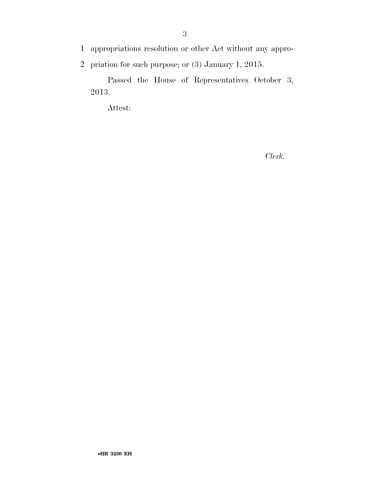1 appropriations resolution or other Act without any appro-

2 priation for such purpose; or (3) January 1, 2015.

Passed the House of Representatives October 3, 2013.

Attest:

*Clerk.*